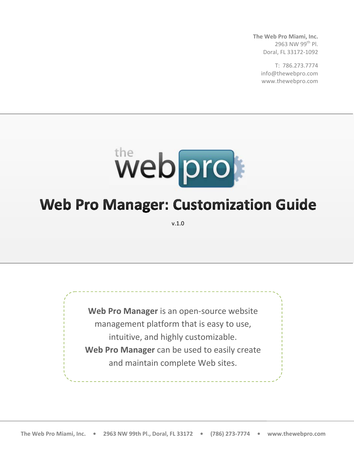**The Web Pro Miami, Inc.** 2963 NW 99th Pl. Doral, FL 33172-1092

> T: 786.273.7774 info@thewebpro.com www.thewebpro.com



# **Web Pro Manager: Customization Guide**

v.1.0

**Web Pro Manager** is an open-source website management platform that is easy to use, intuitive, and highly customizable. **Web Pro Manager** can be used to easily create and maintain complete Web sites.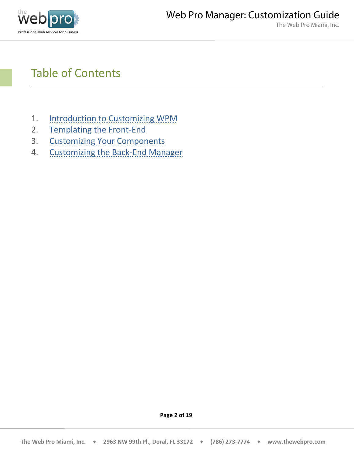

## Table of Contents

- 1. [Introduction](#page-1-0) to Customizing WPM
- 2. [Templating](#page-3-0) the Front-End
- 3. [Customizing Your Components](#page-9-0)
- <span id="page-1-0"></span>4. Customizing [the Back-End Manager](#page-15-0)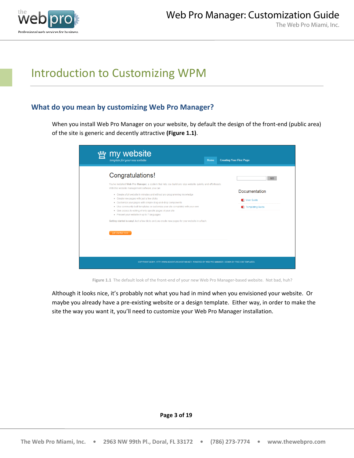

## Introduction to Customizing WPM

## **What do you mean by customizing Web Pro Manager?**

When you install Web Pro Manager on your website, by default the design of the front-end (public area) of the site is generic and decently attractive **(Figure 1.1)**.

| my website<br>template for your new website<br>Home                                                                                                                                                                                                                                                                                                                                                                                                                                                                                                                                                                                                                                               | <b>Creating Your First Page</b>                       |
|---------------------------------------------------------------------------------------------------------------------------------------------------------------------------------------------------------------------------------------------------------------------------------------------------------------------------------------------------------------------------------------------------------------------------------------------------------------------------------------------------------------------------------------------------------------------------------------------------------------------------------------------------------------------------------------------------|-------------------------------------------------------|
| Congratulations!<br>You've installed Web Pro Manager, a system that lets you build any size website quickly and effortlessly.<br>With this website management software, you can:<br>• Create a full website in minutes and without any programming knowledge<br>• Create new pages with just a few clicks<br>• Customize your pages with simple drag-and-drop components<br>. Use community-built templates or customize your site completely with your own<br>• Give access to editing of only specific pages of your site<br>• Present your website in up to 7 languages<br>Getting started is easy! Just a few clicks and you create new pages for your website in a flash.<br>get started now | GO<br>Documentation<br>User Guide<br>Templating Guide |
| COPYRIGHT © 2011. HTTP://WWW.ADVENTURE-HOSTING.NET/. POWERED BY WEB PRO MANAGER. DESIGN BY FREE CSS TEMPLATES.                                                                                                                                                                                                                                                                                                                                                                                                                                                                                                                                                                                    |                                                       |

**Figure 1.1** The default look of the front-end of your new Web Pro Manager-based website. Not bad, huh?

Although it looks nice, it's probably not what you had in mind when you envisioned your website. Or maybe you already have a pre-existing website or a design template. Either way, in order to make the site the way you want it, you'll need to customize your Web Pro Manager installation.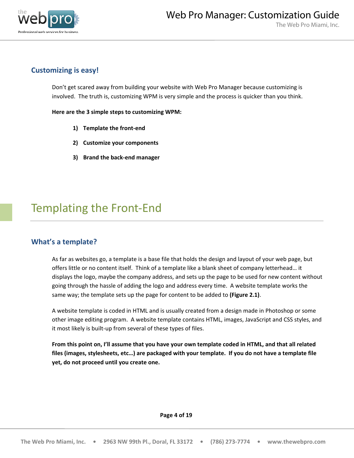<span id="page-3-0"></span>

## **Customizing is easy!**

Don't get scared away from building your website with Web Pro Manager because customizing is involved. The truth is, customizing WPM is very simple and the process is quicker than you think.

**Here are the 3 simple steps to customizing WPM:**

- **1) Template the front-end**
- **2) Customize your components**
- **3) Brand the back-end manager**

## Templating the Front-End

## **What's a template?**

As far as websites go, a template is a base file that holds the design and layout of your web page, but offers little or no content itself. Think of a template like a blank sheet of company letterhead… it displays the logo, maybe the company address, and sets up the page to be used for new content without going through the hassle of adding the logo and address every time. A website template works the same way; the template sets up the page for content to be added to **(Figure 2.1)**.

A website template is coded in HTML and is usually created from a design made in Photoshop or some other image editing program. A website template contains HTML, images, JavaScript and CSS styles, and it most likely is built-up from several of these types of files.

**From this point on, I'll assume that you have your own template coded in HTML, and that all related files (images, stylesheets, etc…) are packaged with your template. If you do not have a template file yet, do not proceed until you create one.**

**Page 4 of 19**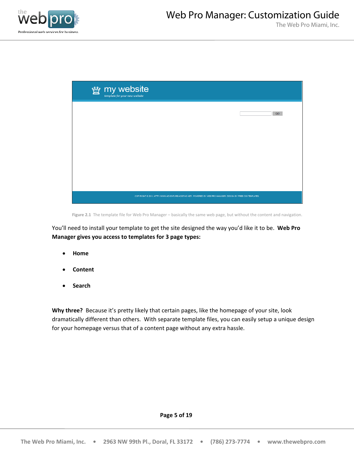

| We my website |                                                                                                                |     |
|---------------|----------------------------------------------------------------------------------------------------------------|-----|
|               |                                                                                                                | GO. |
|               |                                                                                                                |     |
|               |                                                                                                                |     |
|               |                                                                                                                |     |
|               |                                                                                                                |     |
|               | COPYRIGHT @ 2011, HTTP://WWW.ADVENTURE-HOSTING.NET/, POWERED BY WEB PRO MANAGER, DESIGN BY FREE CSS TEMPLATES. |     |

**Figure 2.1** The template file for Web Pro Manager – basically the same web page, but without the content and navigation.

You'll need to install your template to get the site designed the way you'd like it to be. **Web Pro Manager gives you access to templates for 3 page types:**

- **Home**
- **Content**
- **Search**

**Why three?** Because it's pretty likely that certain pages, like the homepage of your site, look dramatically different than others. With separate template files, you can easily setup a unique design for your homepage versus that of a content page without any extra hassle.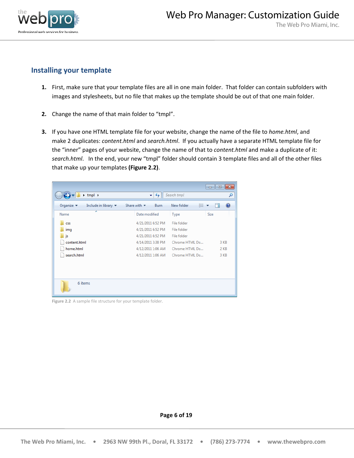

## **Installing your template**

- **1.** First, make sure that your template files are all in one main folder. That folder can contain subfolders with images and stylesheets, but no file that makes up the template should be out of that one main folder.
- **2.** Change the name of that main folder to "tmpl".
- **3.** If you have one HTML template file for your website, change the name of the file to *home.html*, and make 2 duplicates: *content.html* and *search.html*. If you actually have a separate HTML template file for the "inner" pages of your website, change the name of that to *content.html* and make a duplicate of it: *search.html*. In the end, your new "tmpl" folder should contain 3 template files and all of the other files that make up your templates **(Figure 2.2)**.

| $\rightarrow$ tmpl $\rightarrow$                                         | ✦<br>÷۱                                 | Search tmpl     | م    |
|--------------------------------------------------------------------------|-----------------------------------------|-----------------|------|
| Organize $\blacktriangledown$<br>Include in library $\blacktriangledown$ | Burn<br>Share with $\blacktriangledown$ | 睚<br>New folder |      |
| ≖<br>Name                                                                | Date modified                           | Type            | Size |
| <b>CSS</b>                                                               | 4/21/2011 6:52 PM                       | File folder     |      |
| img                                                                      | 4/21/2011 6:52 PM                       | File folder     |      |
| js                                                                       | 4/21/2011 6:52 PM                       | File folder     |      |
| content.html                                                             | 4/14/2011 3:38 PM                       | Chrome HTML Do  | 3 KB |
| home.html                                                                | 4/12/2011 1:06 AM                       | Chrome HTML Do  | 2 KB |
| search.html                                                              | 4/12/2011 1:06 AM                       | Chrome HTML Do  | 3 KB |
|                                                                          |                                         |                 |      |
| 6 items                                                                  |                                         |                 |      |

**Figure 2.2** A sample file structure for your template folder.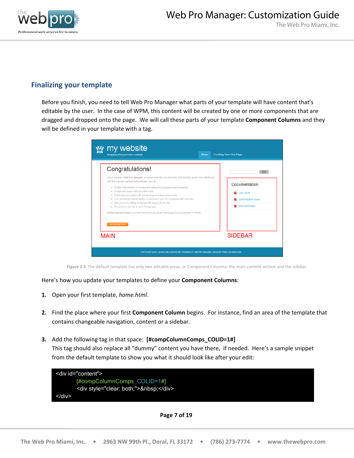

## **Finalizing your template**

Before you finish, you need to tell Web Pro Manager what parts of your template will have content that's editable by the user. In the case of WPM, this content will be created by one or more components that are dragged and dropped onto the page. We will call these parts of your template **Component Columns** and they will be defined in your template with a tag.

| my website<br>template for your new website<br>Home                                                                                                                                                                                                                                                                                                                                                                                                                                                                                                                                                                                                                                               | <b>Creating Your First Page</b>                                              |
|---------------------------------------------------------------------------------------------------------------------------------------------------------------------------------------------------------------------------------------------------------------------------------------------------------------------------------------------------------------------------------------------------------------------------------------------------------------------------------------------------------------------------------------------------------------------------------------------------------------------------------------------------------------------------------------------------|------------------------------------------------------------------------------|
| Congratulations!<br>You've installed Web Pro Manager, a system that lets you build any size website quickly and effortlessly.<br>With this website management software, you can:<br>* Create a full website in minutes and without any programming knowledge<br>• Create new pages with just a few clicks<br>* Customize your pages with simple drag-and-drop components<br>. Use community-built templates or customize your site completely with your own<br>. Give access to editing of only specific pages of your site<br>· Present your website in up to 7 languages<br>Getting started is easy! Just a few clicks and you create new pages for your website in a flash.<br>get started now | GO<br>Documentation<br>User Guide<br>Customization Guide<br>More Information |
| <b>MAIN</b><br>COPYRIGHT @ 2011, ADVENTURE-HOSTING.NET, POWERED BY WEB PRO MANAGER, DESIGN BY FREE CSS TEMPLATES                                                                                                                                                                                                                                                                                                                                                                                                                                                                                                                                                                                  | <b>SIDEBAR</b>                                                               |

**Figure 2.3** The default template has only two editable areas, or Component Columns: the main content section and the sidebar.

Here's how you update your templates to define your **Component Columns**:

- **1.** Open your first template, *home.html*.
- **2.** Find the place where your first **Component Column** begins. For instance, find an area of the template that contains changeable navigation, content or a sidebar.
- **3.** Add the following tag in that space: **[#compColumnComps\_COLID=1#]** This tag should also replace all "dummy" content you have there, if needed. Here's a sample snippet from the default template to show you what it should look like after your edit:



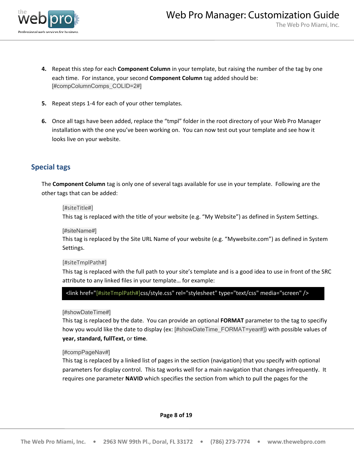

- **4.** Repeat this step for each **Component Column** in your template, but raising the number of the tag by one each time. For instance, your second **Component Column** tag added should be: [#compColumnComps\_COLID=2#]
- **5.** Repeat steps 1-4 for each of your other templates.
- **6.** Once all tags have been added, replace the "tmpl" folder in the root directory of your Web Pro Manager installation with the one you've been working on. You can now test out your template and see how it looks live on your website.

## **Special tags**

The **Component Column** tag is only one of several tags available for use in your template. Following are the other tags that can be added:

### [#siteTitle#]

This tag is replaced with the title of your website (e.g. "My Website") as defined in System Settings.

### [#siteName#]

This tag is replaced by the Site URL Name of your website (e.g. "Mywebsite.com") as defined in System Settings.

### [#siteTmplPath#]

This tag is replaced with the full path to your site's template and is a good idea to use in front of the SRC attribute to any linked files in your template… for example:

### <link href="[#siteTmplPath#]css/style.css" rel="stylesheet" type="text/css" media="screen" />

### [#showDateTime#]

This tag is replaced by the date. You can provide an optional **FORMAT** parameter to the tag to specifiy how you would like the date to display (ex: [#showDateTime\_FORMAT=year#]) with possible values of **year, standard, fullText,** or **time**.

### [#compPageNav#]

This tag is replaced by a linked list of pages in the section (navigation) that you specify with optional parameters for display control. This tag works well for a main navigation that changes infrequently. It requires one parameter **NAVID** which specifies the section from which to pull the pages for the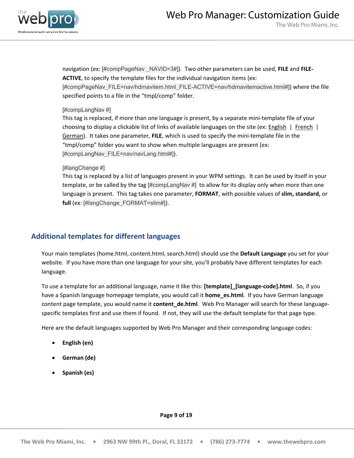

The Web Pro Miami, Inc.

navigation (ex: [#compPageNav \_NAVID=3#]). Two other parameters can be used, **FILE** and **FILE-ACTIVE**, to specify the template files for the individual navigation items (ex:

[#compPageNav\_FILE=nav/hdrnavitem.html\_FILE-ACTIVE=nav/hdrnavitemactive.html#]) where the file specified points to a file in the "tmpl/comp" folder.

### [#compLangNav #]

This tag is replaced, if more than one language is present, by a separate mini-template file of your choosing to display a clickable list of links of available languages on the site (ex: **English** | French | German ). It takes one parameter, **FILE**, which is used to specify the mini-template file in the "tmpl/comp" folder you want to show when multiple languages are present (ex: [#compLangNav\_FILE=nav/navLang.html#]).

### [#langChange #]

This tag is replaced by a list of languages present in your WPM settings. It can be used by itself in your template, or be called by the tag [#compLangNav #] to allow for its display only when more than one language is present. This tag takes one parameter, **FORMAT**, with possible values of **slim, standard,** or **full** (ex: [#langChange\_FORMAT=slim#]).

## **Additional templates for different languages**

Your main templates (home.html, content.html, search.html) should use the **Default Language** you set for your website. If you have more than one language for your site, you'll probably have different templates for each language.

To use a template for an additional language, name it like this: **[template]\_[language-code].html**. So, if you have a Spanish language homepage template, you would call it **home\_es.html**. If you have German language content page template, you would name it **content\_de.html**. Web Pro Manager will search for these languagespecific templates first and use them if found. If not, they will use the default template for that page type.

Here are the default languages supported by Web Pro Manager and their corresponding language codes:

- **English (en)**
- **German (de)**
- **Spanish (es)**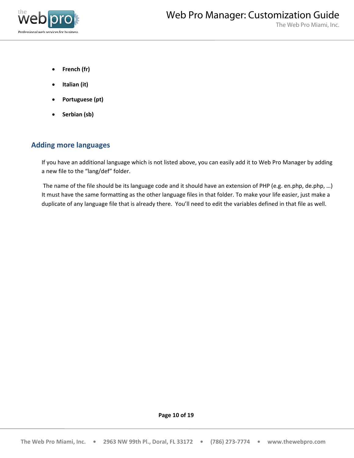

- **French (fr)**
- **Italian (it)**
- **Portuguese (pt)**
- **Serbian (sb)**

### **Adding more languages**

If you have an additional language which is not listed above, you can easily add it to Web Pro Manager by adding a new file to the "lang/def" folder.

<span id="page-9-0"></span>The name of the file should be its language code and it should have an extension of PHP (e.g. en.php, de.php, …) It must have the same formatting as the other language files in that folder. To make your life easier, just make a duplicate of any language file that is already there. You'll need to edit the variables defined in that file as well.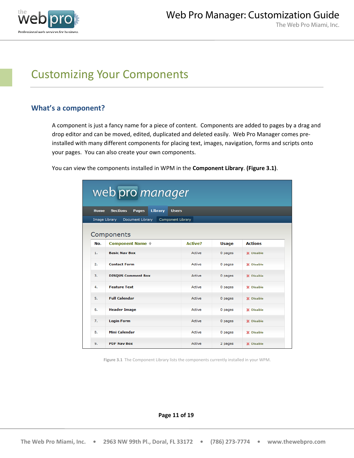

## Customizing Your Components

## **What's a component?**

A component is just a fancy name for a piece of content. Components are added to pages by a drag and drop editor and can be moved, edited, duplicated and deleted easily. Web Pro Manager comes preinstalled with many different components for placing text, images, navigation, forms and scripts onto your pages. You can also create your own components.

> web pro manager Sections Pages Library Users Home Image Library Document Library Component Library Components **Component Name** <sup> $+$ </sup> **Active? Actions** No. **Usage**  $1.$ **Basic Nav Box** Active 0 pages X Disable  $\overline{2}$ **Contact Form** Active 0 pages X Disable **DISQUS Comment Box** 3. Active 0 pages **X** Disable 4. **Feature Text** Active 0 pages X Disable  $5.$ **Full Calendar** Active 0 pages X Disable 6. **Header Image** Active 0 pages X Disable  $\overline{z}$ **Login Form** Active 0 pages X Disable **Mini Calendar** X Disable 8. Active 0 pages 9. **PDF Nav Box** Active 2 pages X Disable

You can view the components installed in WPM in the **Component Library**. **(Figure 3.1)**.

**Figure 3.1** The Component Library lists the components currently installed in your WPM.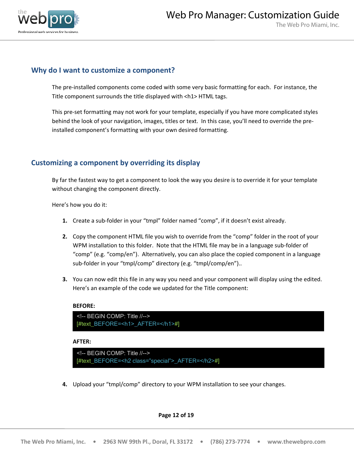

## **Why do I want to customize a component?**

The pre-installed components come coded with some very basic formatting for each. For instance, the Title component surrounds the title displayed with <h1> HTML tags.

This pre-set formatting may not work for your template, especially if you have more complicated styles behind the look of your navigation, images, titles or text. In this case, you'll need to override the preinstalled component's formatting with your own desired formatting.

## **Customizing a component by overriding its display**

By far the fastest way to get a component to look the way you desire is to override it for your template without changing the component directly.

Here's how you do it:

- **1.** Create a sub-folder in your "tmpl" folder named "comp", if it doesn't exist already.
- **2.** Copy the component HTML file you wish to override from the "comp" folder in the root of your WPM installation to this folder. Note that the HTML file may be in a language sub-folder of "comp" (e.g. "comp/en"). Alternatively, you can also place the copied component in a language sub-folder in your "tmpl/comp" directory (e.g. "tmpl/comp/en")..
- **3.** You can now edit this file in any way you need and your component will display using the edited. Here's an example of the code we updated for the Title component:

### **BEFORE:**

```
<!-- BEGIN COMP: Title //-->
[#text_BEFORE=<h1>_AFTER=</h1>#]
```
### **AFTER:**

```
<!-- BEGIN COMP: Title //-->
[#text_BEFORE=<h2 class="special">_AFTER=</h2>#]
```
**4.** Upload your "tmpl/comp" directory to your WPM installation to see your changes.

### **Page 12 of 19**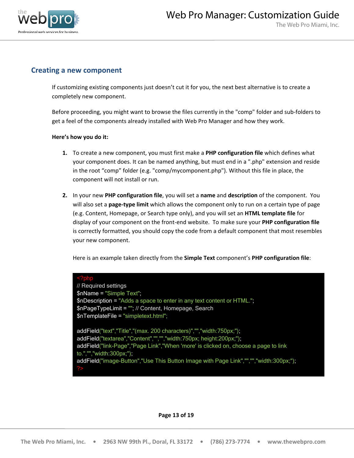

## **Creating a new component**

If customizing existing components just doesn't cut it for you, the next best alternative is to create a completely new component.

Before proceeding, you might want to browse the files currently in the "comp" folder and sub-folders to get a feel of the components already installed with Web Pro Manager and how they work.

### **Here's how you do it:**

- **1.** To create a new component, you must first make a **PHP configuration file** which defines what your component does. It can be named anything, but must end in a ".php" extension and reside in the root "comp" folder (e.g. "comp/mycomponent.php"). Without this file in place, the component will not install or run.
- **2.** In your new **PHP configuration file**, you will set a **name** and **description** of the component. You will also set a **page-type limit** which allows the component only to run on a certain type of page (e.g. Content, Homepage, or Search type only), and you will set an **HTML template file** for display of your component on the front-end website. To make sure your **PHP configuration file** is correctly formatted, you should copy the code from a default component that most resembles your new component.

Here is an example taken directly from the **Simple Text** component's **PHP configuration file**:

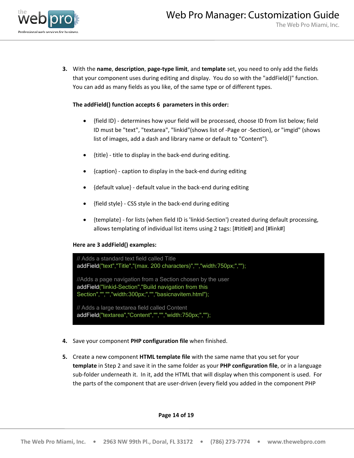

**3.** With the **name**, **description**, **page-type limit**, and **template** set, you need to only add the fields that your component uses during editing and display. You do so with the "addField()" function. You can add as many fields as you like, of the same type or of different types.

### **The addField() function accepts 6 parameters in this order:**

- {field ID} determines how your field will be processed, choose ID from list below; field ID must be "text", "textarea", "linkid"(shows list of -Page or -Section), or "imgid" (shows list of images, add a dash and library name or default to "Content").
- {title} title to display in the back-end during editing.
- {caption} caption to display in the back-end during editing
- {default value} default value in the back-end during editing
- {field style} CSS style in the back-end during editing
- {template} for lists (when field ID is 'linkid-Section') created during default processing, allows templating of individual list items using 2 tags: [#title#] and [#link#]

### **Here are 3 addField() examples:**



- **4.** Save your component **PHP configuration file** when finished.
- **5.** Create a new component **HTML template file** with the same name that you set for your **template** in Step 2 and save it in the same folder as your **PHP configuration file**, or in a language sub-folder underneath it. In it, add the HTML that will display when this component is used. For the parts of the component that are user-driven (every field you added in the component PHP

### **Page 14 of 19**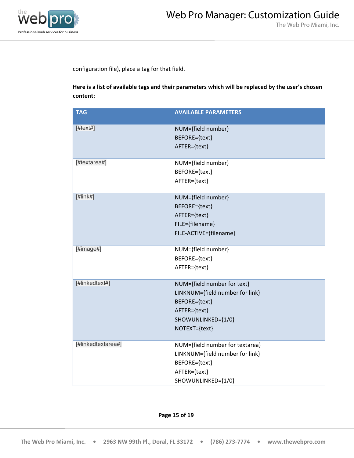

configuration file), place a tag for that field.

**Here is a list of available tags and their parameters which will be replaced by the user's chosen content:**

| <b>TAG</b>          | <b>AVAILABLE PARAMETERS</b>                                                                                                            |
|---------------------|----------------------------------------------------------------------------------------------------------------------------------------|
| $[#textext$ #]      | NUM={field number}<br>BEFORE={text}<br>AFTER={text}                                                                                    |
| [#textarea#]        | NUM={field number}<br>BEFORE={text}<br>AFTER={text}                                                                                    |
| [ $\#$ link $\#$ ]  | NUM={field number}<br>BEFORE={text}<br>AFTER={text}<br>FILE={filename}<br>FILE-ACTIVE={filename}                                       |
| [ $\#$ image $\#$ ] | NUM={field number}<br>BEFORE={text}<br>AFTER={text}                                                                                    |
| [#linkedtext#]      | NUM={field number for text}<br>LINKNUM={field number for link}<br>BEFORE={text}<br>AFTER={text}<br>SHOWUNLINKED={1/0}<br>NOTEXT={text} |
| [#linkedtextarea#]  | NUM={field number for textarea}<br>LINKNUM={field number for link}<br>BEFORE={text}<br>AFTER={text}<br>SHOWUNLINKED={1/0}              |

### **Page 15 of 19**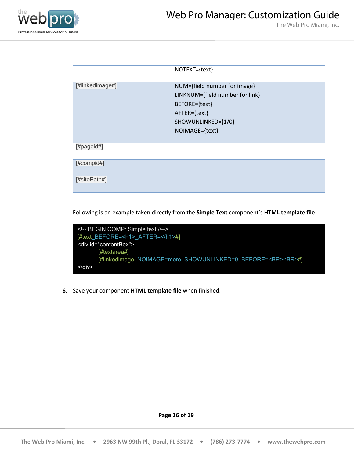

|                 | NOTEXT={text}                   |
|-----------------|---------------------------------|
| [#linkedimage#] | NUM={field number for image}    |
|                 | LINKNUM={field number for link} |
|                 | BEFORE={text}                   |
|                 | AFTER={text}                    |
|                 | SHOWUNLINKED={1/0}              |
|                 | NOIMAGE={text}                  |
|                 |                                 |
| [#pageid#]      |                                 |
| [#compid#]      |                                 |
| [#sitePath#]    |                                 |

Following is an example taken directly from the **Simple Text** component's **HTML template file**:



<span id="page-15-0"></span>**6.** Save your component **HTML template file** when finished.

**Page 16 of 19**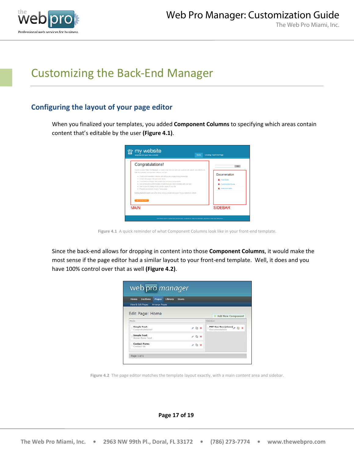

## Customizing the Back-End Manager

## **Configuring the layout of your page editor**

When you finalized your templates, you added **Component Columns** to specifying which areas contain content that's editable by the user **(Figure 4.1)**.



**Figure 4.1** A quick reminder of what Component Columns look like in your front-end template.

Since the back-end allows for dropping in content into those **Component Columns**, it would make the most sense if the page editor had a similar layout to your front-end template. Well, it does and you have 100% control over that as well **(Figure 4.2)**.

| <b>Sections</b><br>Home<br>Pages        | Library<br><b>Users</b> |                   |
|-----------------------------------------|-------------------------|-------------------|
| View & Edit Pages Arrange Pages         |                         |                   |
|                                         |                         |                   |
| Edit Page: Home                         |                         | Add New Component |
| Main                                    | Sidebar                 |                   |
| <b>Simple Text:</b><br>Congratulations! | $A \nLeftrightarrow x$  | Documentation     |
|                                         | 25x                     |                   |
| Simple Text:<br>Some Hore Text          |                         |                   |

**Figure 4.2** The page editor matches the template layout exactly, with a main content area and sidebar.

**Page 17 of 19**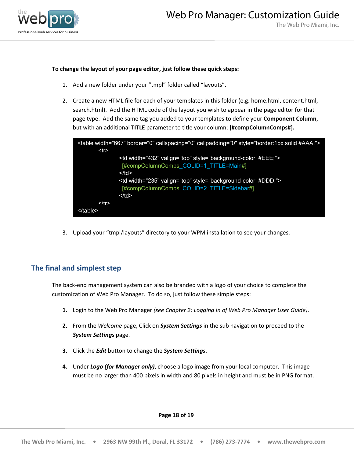

### **To change the layout of your page editor, just follow these quick steps:**

- 1. Add a new folder under your "tmpl" folder called "layouts".
- 2. Create a new HTML file for each of your templates in this folder (e.g. home.html, content.html, search.html). Add the HTML code of the layout you wish to appear in the page editor for that page type. Add the same tag you added to your templates to define your **Component Column**, but with an additional **TITLE** parameter to title your column: **[#compColumnComps#].**



3. Upload your "tmpl/layouts" directory to your WPM installation to see your changes.

### **The final and simplest step**

The back-end management system can also be branded with a logo of your choice to complete the customization of Web Pro Manager. To do so, just follow these simple steps:

- **1.** Login to the Web Pro Manager *(see Chapter 2: Logging In of Web Pro Manager User Guide)*.
- **2.** From the *Welcome* page, Click on *System Settings* in the sub navigation to proceed to the *System Settings* page.
- **3.** Click the *Edit* button to change the *System Settings*.
- **4.** Under *Logo (for Manager only)*, choose a logo image from your local computer. This image must be no larger than 400 pixels in width and 80 pixels in height and must be in PNG format.

**Page 18 of 19**